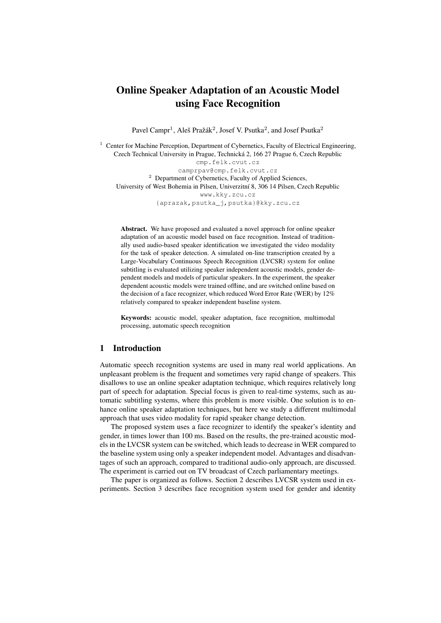# Online Speaker Adaptation of an Acoustic Model using Face Recognition

Pavel Campr<sup>1</sup>, Aleš Pražák<sup>2</sup>, Josef V. Psutka<sup>2</sup>, and Josef Psutka<sup>2</sup>

 $1$  Center for Machine Perception, Department of Cybernetics, Faculty of Electrical Engineering, Czech Technical University in Prague, Technicka 2, 166 27 Prague 6, Czech Republic ´ cmp.felk.cvut.cz camprpav@cmp.felk.cvut.cz <sup>2</sup> Department of Cybernetics, Faculty of Applied Sciences, University of West Bohemia in Pilsen, Univerzitní 8, 306 14 Pilsen, Czech Republic

www.kky.zcu.cz

{aprazak,psutka\_j,psutka}@kky.zcu.cz

Abstract. We have proposed and evaluated a novel approach for online speaker adaptation of an acoustic model based on face recognition. Instead of traditionally used audio-based speaker identification we investigated the video modality for the task of speaker detection. A simulated on-line transcription created by a Large-Vocabulary Continuous Speech Recognition (LVCSR) system for online subtitling is evaluated utilizing speaker independent acoustic models, gender dependent models and models of particular speakers. In the experiment, the speaker dependent acoustic models were trained offline, and are switched online based on the decision of a face recognizer, which reduced Word Error Rate (WER) by 12% relatively compared to speaker independent baseline system.

Keywords: acoustic model, speaker adaptation, face recognition, multimodal processing, automatic speech recognition

### 1 Introduction

Automatic speech recognition systems are used in many real world applications. An unpleasant problem is the frequent and sometimes very rapid change of speakers. This disallows to use an online speaker adaptation technique, which requires relatively long part of speech for adaptation. Special focus is given to real-time systems, such as automatic subtitling systems, where this problem is more visible. One solution is to enhance online speaker adaptation techniques, but here we study a different multimodal approach that uses video modality for rapid speaker change detection.

The proposed system uses a face recognizer to identify the speaker's identity and gender, in times lower than 100 ms. Based on the results, the pre-trained acoustic models in the LVCSR system can be switched, which leads to decrease in WER compared to the baseline system using only a speaker independent model. Advantages and disadvantages of such an approach, compared to traditional audio-only approach, are discussed. The experiment is carried out on TV broadcast of Czech parliamentary meetings.

The paper is organized as follows. Section 2 describes LVCSR system used in experiments. Section 3 describes face recognition system used for gender and identity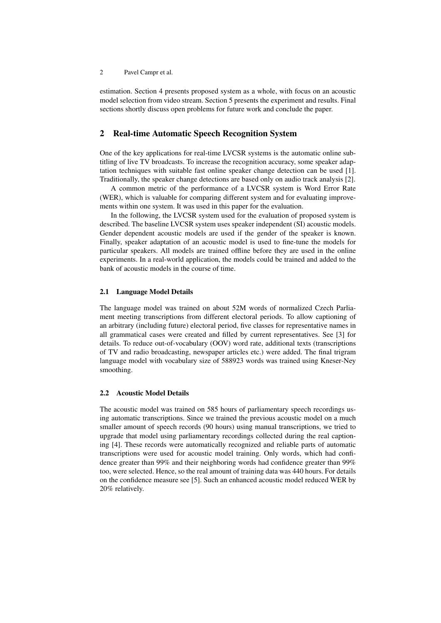2 Pavel Campr et al.

estimation. Section 4 presents proposed system as a whole, with focus on an acoustic model selection from video stream. Section 5 presents the experiment and results. Final sections shortly discuss open problems for future work and conclude the paper.

# 2 Real-time Automatic Speech Recognition System

One of the key applications for real-time LVCSR systems is the automatic online subtitling of live TV broadcasts. To increase the recognition accuracy, some speaker adaptation techniques with suitable fast online speaker change detection can be used [1]. Traditionally, the speaker change detections are based only on audio track analysis [2].

A common metric of the performance of a LVCSR system is Word Error Rate (WER), which is valuable for comparing different system and for evaluating improvements within one system. It was used in this paper for the evaluation.

In the following, the LVCSR system used for the evaluation of proposed system is described. The baseline LVCSR system uses speaker independent (SI) acoustic models. Gender dependent acoustic models are used if the gender of the speaker is known. Finally, speaker adaptation of an acoustic model is used to fine-tune the models for particular speakers. All models are trained offline before they are used in the online experiments. In a real-world application, the models could be trained and added to the bank of acoustic models in the course of time.

#### 2.1 Language Model Details

The language model was trained on about 52M words of normalized Czech Parliament meeting transcriptions from different electoral periods. To allow captioning of an arbitrary (including future) electoral period, five classes for representative names in all grammatical cases were created and filled by current representatives. See [3] for details. To reduce out-of-vocabulary (OOV) word rate, additional texts (transcriptions of TV and radio broadcasting, newspaper articles etc.) were added. The final trigram language model with vocabulary size of 588923 words was trained using Kneser-Ney smoothing.

### 2.2 Acoustic Model Details

The acoustic model was trained on 585 hours of parliamentary speech recordings using automatic transcriptions. Since we trained the previous acoustic model on a much smaller amount of speech records (90 hours) using manual transcriptions, we tried to upgrade that model using parliamentary recordings collected during the real captioning [4]. These records were automatically recognized and reliable parts of automatic transcriptions were used for acoustic model training. Only words, which had confidence greater than 99% and their neighboring words had confidence greater than 99% too, were selected. Hence, so the real amount of training data was 440 hours. For details on the confidence measure see [5]. Such an enhanced acoustic model reduced WER by 20% relatively.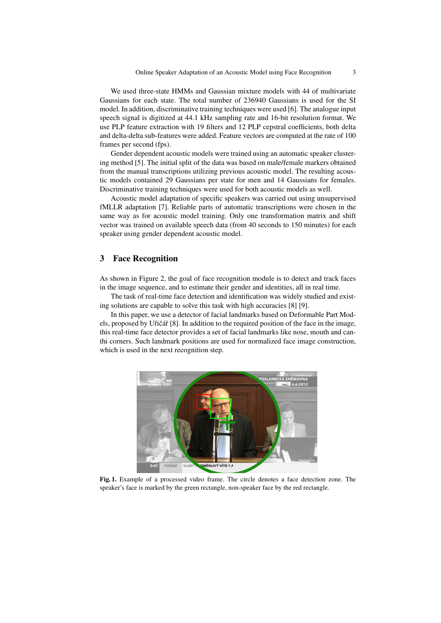We used three-state HMMs and Gaussian mixture models with 44 of multivariate Gaussians for each state. The total number of 236940 Gaussians is used for the SI model. In addition, discriminative training techniques were used [6]. The analogue input speech signal is digitized at 44.1 kHz sampling rate and 16-bit resolution format. We use PLP feature extraction with 19 filters and 12 PLP cepstral coefficients, both delta and delta-delta sub-features were added. Feature vectors are computed at the rate of 100 frames per second (fps).

Gender dependent acoustic models were trained using an automatic speaker clustering method [5]. The initial split of the data was based on male/female markers obtained from the manual transcriptions utilizing previous acoustic model. The resulting acoustic models contained 29 Gaussians per state for men and 14 Gaussians for females. Discriminative training techniques were used for both acoustic models as well.

Acoustic model adaptation of specific speakers was carried out using unsupervised fMLLR adaptation [7]. Reliable parts of automatic transcriptions were chosen in the same way as for acoustic model training. Only one transformation matrix and shift vector was trained on available speech data (from 40 seconds to 150 minutes) for each speaker using gender dependent acoustic model.

# 3 Face Recognition

As shown in Figure 2, the goal of face recognition module is to detect and track faces in the image sequence, and to estimate their gender and identities, all in real time.

The task of real-time face detection and identification was widely studied and existing solutions are capable to solve this task with high accuracies [8] [9].

In this paper, we use a detector of facial landmarks based on Deformable Part Models, proposed by Uřičář [8]. In addition to the required position of the face in the image, this real-time face detector provides a set of facial landmarks like nose, mouth and canthi corners. Such landmark positions are used for normalized face image construction, which is used in the next recognition step.



Fig. 1. Example of a processed video frame. The circle denotes a face detection zone. The speaker's face is marked by the green rectangle, non-speaker face by the red rectangle.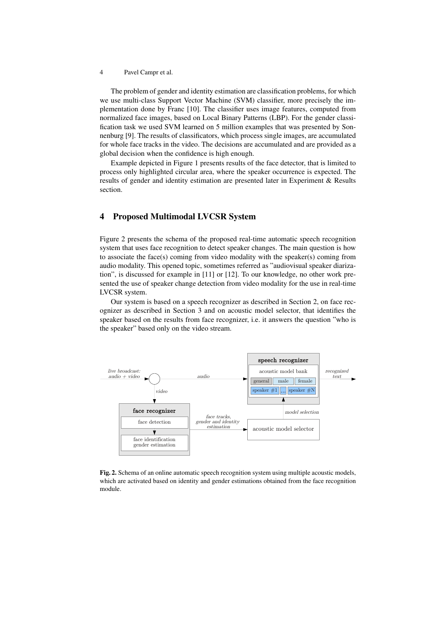The problem of gender and identity estimation are classification problems, for which we use multi-class Support Vector Machine (SVM) classifier, more precisely the implementation done by Franc [10]. The classifier uses image features, computed from normalized face images, based on Local Binary Patterns (LBP). For the gender classification task we used SVM learned on 5 million examples that was presented by Sonnenburg [9]. The results of classificators, which process single images, are accumulated for whole face tracks in the video. The decisions are accumulated and are provided as a global decision when the confidence is high enough.

Example depicted in Figure 1 presents results of the face detector, that is limited to process only highlighted circular area, where the speaker occurrence is expected. The results of gender and identity estimation are presented later in Experiment & Results section.

# 4 Proposed Multimodal LVCSR System

Figure 2 presents the schema of the proposed real-time automatic speech recognition system that uses face recognition to detect speaker changes. The main question is how to associate the face(s) coming from video modality with the speaker(s) coming from audio modality. This opened topic, sometimes referred as "audiovisual speaker diarization", is discussed for example in [11] or [12]. To our knowledge, no other work presented the use of speaker change detection from video modality for the use in real-time LVCSR system.

Our system is based on a speech recognizer as described in Section 2, on face recognizer as described in Section 3 and on acoustic model selector, that identifies the speaker based on the results from face recognizer, i.e. it answers the question "who is the speaker" based only on the video stream.



Fig. 2. Schema of an online automatic speech recognition system using multiple acoustic models, which are activated based on identity and gender estimations obtained from the face recognition module.

<sup>4</sup> Pavel Campr et al.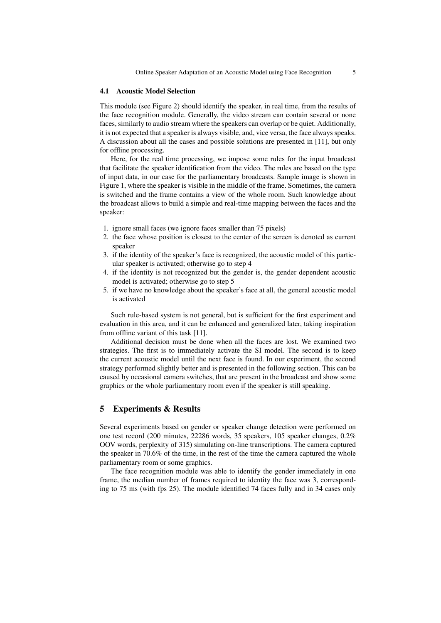#### 4.1 Acoustic Model Selection

This module (see Figure 2) should identify the speaker, in real time, from the results of the face recognition module. Generally, the video stream can contain several or none faces, similarly to audio stream where the speakers can overlap or be quiet. Additionally, it is not expected that a speaker is always visible, and, vice versa, the face always speaks. A discussion about all the cases and possible solutions are presented in [11], but only for offline processing.

Here, for the real time processing, we impose some rules for the input broadcast that facilitate the speaker identification from the video. The rules are based on the type of input data, in our case for the parliamentary broadcasts. Sample image is shown in Figure 1, where the speaker is visible in the middle of the frame. Sometimes, the camera is switched and the frame contains a view of the whole room. Such knowledge about the broadcast allows to build a simple and real-time mapping between the faces and the speaker:

- 1. ignore small faces (we ignore faces smaller than 75 pixels)
- 2. the face whose position is closest to the center of the screen is denoted as current speaker
- 3. if the identity of the speaker's face is recognized, the acoustic model of this particular speaker is activated; otherwise go to step 4
- 4. if the identity is not recognized but the gender is, the gender dependent acoustic model is activated; otherwise go to step 5
- 5. if we have no knowledge about the speaker's face at all, the general acoustic model is activated

Such rule-based system is not general, but is sufficient for the first experiment and evaluation in this area, and it can be enhanced and generalized later, taking inspiration from offline variant of this task [11].

Additional decision must be done when all the faces are lost. We examined two strategies. The first is to immediately activate the SI model. The second is to keep the current acoustic model until the next face is found. In our experiment, the second strategy performed slightly better and is presented in the following section. This can be caused by occasional camera switches, that are present in the broadcast and show some graphics or the whole parliamentary room even if the speaker is still speaking.

# 5 Experiments & Results

Several experiments based on gender or speaker change detection were performed on one test record (200 minutes, 22286 words, 35 speakers, 105 speaker changes, 0.2% OOV words, perplexity of 315) simulating on-line transcriptions. The camera captured the speaker in 70.6% of the time, in the rest of the time the camera captured the whole parliamentary room or some graphics.

The face recognition module was able to identify the gender immediately in one frame, the median number of frames required to identity the face was 3, corresponding to 75 ms (with fps 25). The module identified 74 faces fully and in 34 cases only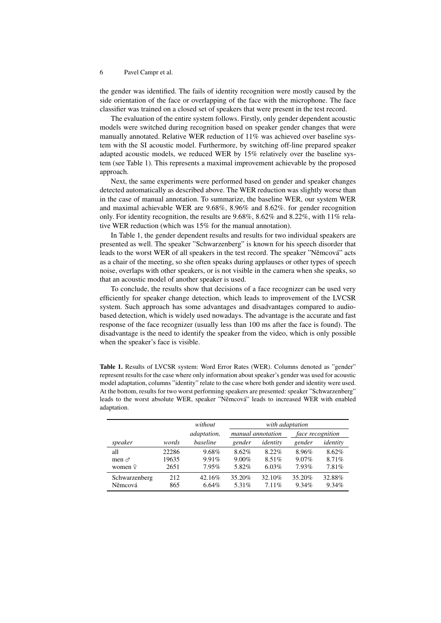#### 6 Pavel Campr et al.

the gender was identified. The fails of identity recognition were mostly caused by the side orientation of the face or overlapping of the face with the microphone. The face classifier was trained on a closed set of speakers that were present in the test record.

The evaluation of the entire system follows. Firstly, only gender dependent acoustic models were switched during recognition based on speaker gender changes that were manually annotated. Relative WER reduction of 11% was achieved over baseline system with the SI acoustic model. Furthermore, by switching off-line prepared speaker adapted acoustic models, we reduced WER by 15% relatively over the baseline system (see Table 1). This represents a maximal improvement achievable by the proposed approach.

Next, the same experiments were performed based on gender and speaker changes detected automatically as described above. The WER reduction was slightly worse than in the case of manual annotation. To summarize, the baseline WER, our system WER and maximal achievable WER are 9.68%, 8.96% and 8.62%. for gender recognition only. For identity recognition, the results are 9.68%, 8.62% and 8.22%, with 11% relative WER reduction (which was 15% for the manual annotation).

In Table 1, the gender dependent results and results for two individual speakers are presented as well. The speaker "Schwarzenberg" is known for his speech disorder that leads to the worst WER of all speakers in the test record. The speaker "Němcová" acts as a chair of the meeting, so she often speaks during applauses or other types of speech noise, overlaps with other speakers, or is not visible in the camera when she speaks, so that an acoustic model of another speaker is used.

To conclude, the results show that decisions of a face recognizer can be used very efficiently for speaker change detection, which leads to improvement of the LVCSR system. Such approach has some advantages and disadvantages compared to audiobased detection, which is widely used nowadays. The advantage is the accurate and fast response of the face recognizer (usually less than 100 ms after the face is found). The disadvantage is the need to identify the speaker from the video, which is only possible when the speaker's face is visible.

| <b>Table 1.</b> Results of LVCSR system: Word Error Rates (WER). Columns denoted as "gender"       |
|----------------------------------------------------------------------------------------------------|
| represent results for the case where only information about speaker's gender was used for acoustic |
| model adaptation, columns "identity" relate to the case where both gender and identity were used.  |
| "At the bottom, results for two worst performing speakers are presented: speaker "Schwarzenberg"   |
| leads to the worst absolute WER, speaker "Němcová" leads to increased WER with enabled             |
| adaptation.                                                                                        |
|                                                                                                    |

|                          |            | without            | with adaptation   |                 |                         |                 |
|--------------------------|------------|--------------------|-------------------|-----------------|-------------------------|-----------------|
|                          |            | <i>adaptation,</i> | manual annotation |                 | <i>face recognition</i> |                 |
| speaker                  | words      | baseline           | gender            | identity        | gender                  | identity        |
| all                      | 22286      | 9.68%              | 8.62%             | 8.22%           | 8.96%                   | 8.62%           |
| men $\sigma$             | 19635      | 9.91%              | $9.00\%$          | 8.51%           | $9.07\%$                | 8.71%           |
| women $9$                | 2651       | 7.95%              | 5.82%             | 6.03%           | 7.93%                   | 7.81%           |
| Schwarzenberg<br>Němcová | 212<br>865 | 42.16%<br>6.64%    | 35.20%<br>5.31%   | 32.10%<br>7.11% | 35.20%<br>$9.34\%$      | 32.88%<br>9.34% |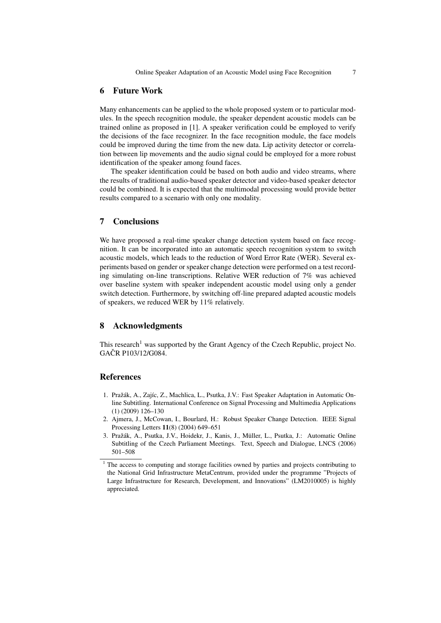### 6 Future Work

Many enhancements can be applied to the whole proposed system or to particular modules. In the speech recognition module, the speaker dependent acoustic models can be trained online as proposed in [1]. A speaker verification could be employed to verify the decisions of the face recognizer. In the face recognition module, the face models could be improved during the time from the new data. Lip activity detector or correlation between lip movements and the audio signal could be employed for a more robust identification of the speaker among found faces.

The speaker identification could be based on both audio and video streams, where the results of traditional audio-based speaker detector and video-based speaker detector could be combined. It is expected that the multimodal processing would provide better results compared to a scenario with only one modality.

### 7 Conclusions

We have proposed a real-time speaker change detection system based on face recognition. It can be incorporated into an automatic speech recognition system to switch acoustic models, which leads to the reduction of Word Error Rate (WER). Several experiments based on gender or speaker change detection were performed on a test recording simulating on-line transcriptions. Relative WER reduction of 7% was achieved over baseline system with speaker independent acoustic model using only a gender switch detection. Furthermore, by switching off-line prepared adapted acoustic models of speakers, we reduced WER by 11% relatively.

## 8 Acknowledgments

This research<sup>1</sup> was supported by the Grant Agency of the Czech Republic, project No. GAČR P103/12/G084.

# References

- 1. Pražák, A., Zajíc, Z., Machlica, L., Psutka, J.V.: Fast Speaker Adaptation in Automatic Online Subtitling. International Conference on Signal Processing and Multimedia Applications (1) (2009) 126–130
- 2. Ajmera, J., McCowan, I., Bourlard, H.: Robust Speaker Change Detection. IEEE Signal Processing Letters 11(8) (2004) 649–651
- 3. Pražák, A., Psutka, J.V., Hoidekr, J., Kanis, J., Müller, L., Psutka, J.: Automatic Online Subtitling of the Czech Parliament Meetings. Text, Speech and Dialogue, LNCS (2006) 501–508

<sup>&</sup>lt;sup>1</sup> The access to computing and storage facilities owned by parties and projects contributing to the National Grid Infrastructure MetaCentrum, provided under the programme "Projects of Large Infrastructure for Research, Development, and Innovations" (LM2010005) is highly appreciated.